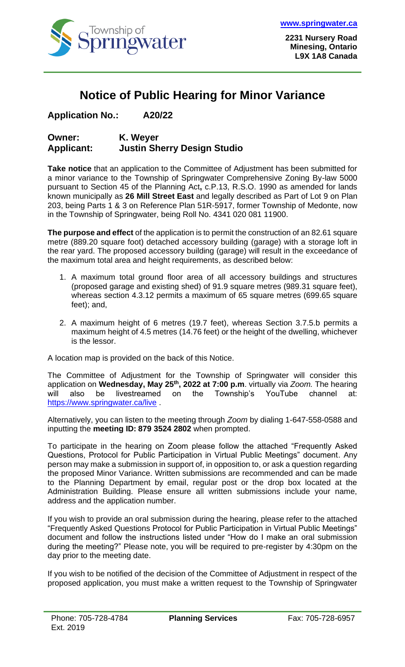

## **Notice of Public Hearing for Minor Variance**

**Application No.: A20/22**

## **Owner: K. Weyer Applicant: Justin Sherry Design Studio**

**Take notice** that an application to the Committee of Adjustment has been submitted for a minor variance to the Township of Springwater Comprehensive Zoning By-law 5000 pursuant to Section 45 of the Planning Act**,** c.P.13, R.S.O. 1990 as amended for lands known municipally as **26 Mill Street East** and legally described as Part of Lot 9 on Plan 203, being Parts 1 & 3 on Reference Plan 51R-5917, former Township of Medonte, now in the Township of Springwater, being Roll No. 4341 020 081 11900.

**The purpose and effect** of the application is to permit the construction of an 82.61 square metre (889.20 square foot) detached accessory building (garage) with a storage loft in the rear yard. The proposed accessory building (garage) will result in the exceedance of the maximum total area and height requirements, as described below:

- 1. A maximum total ground floor area of all accessory buildings and structures (proposed garage and existing shed) of 91.9 square metres (989.31 square feet), whereas section 4.3.12 permits a maximum of 65 square metres (699.65 square feet); and,
- 2. A maximum height of 6 metres (19.7 feet), whereas Section 3.7.5.b permits a maximum height of 4.5 metres (14.76 feet) or the height of the dwelling, whichever is the lessor.

A location map is provided on the back of this Notice.

The Committee of Adjustment for the Township of Springwater will consider this application on **Wednesday, May 25th , 2022 at 7:00 p.m**. virtually via *Zoom.* The hearing will also be livestreamed on the Township's YouTube channel at: <https://www.springwater.ca/live> .

Alternatively, you can listen to the meeting through *Zoom* by dialing 1-647-558-0588 and inputting the **meeting ID: 879 3524 2802** when prompted.

To participate in the hearing on Zoom please follow the attached "Frequently Asked Questions, Protocol for Public Participation in Virtual Public Meetings" document. Any person may make a submission in support of, in opposition to, or ask a question regarding the proposed Minor Variance. Written submissions are recommended and can be made to the Planning Department by email, regular post or the drop box located at the Administration Building. Please ensure all written submissions include your name, address and the application number.

If you wish to provide an oral submission during the hearing, please refer to the attached "Frequently Asked Questions Protocol for Public Participation in Virtual Public Meetings" document and follow the instructions listed under "How do I make an oral submission during the meeting?" Please note, you will be required to pre-register by 4:30pm on the day prior to the meeting date.

If you wish to be notified of the decision of the Committee of Adjustment in respect of the proposed application, you must make a written request to the Township of Springwater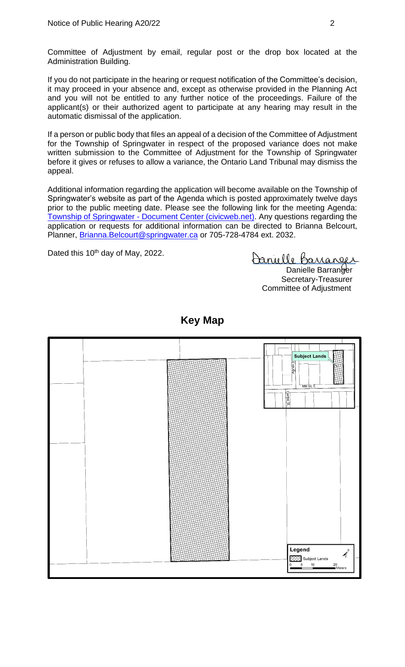Committee of Adjustment by email, regular post or the drop box located at the Administration Building.

If you do not participate in the hearing or request notification of the Committee's decision, it may proceed in your absence and, except as otherwise provided in the Planning Act and you will not be entitled to any further notice of the proceedings. Failure of the applicant(s) or their authorized agent to participate at any hearing may result in the automatic dismissal of the application.

If a person or public body that files an appeal of a decision of the Committee of Adjustment for the Township of Springwater in respect of the proposed variance does not make written submission to the Committee of Adjustment for the Township of Springwater before it gives or refuses to allow a variance, the Ontario Land Tribunal may dismiss the appeal.

Additional information regarding the application will become available on the Township of Springwater's website as part of the Agenda which is posted approximately twelve days prior to the public meeting date. Please see the following link for the meeting Agenda: Township of Springwater - [Document Center \(civicweb.net\).](https://springwater.civicweb.net/filepro/documents/164293) Any questions regarding the application or requests for additional information can be directed to Brianna Belcourt, Planner, [Brianna.Belcourt@springwater.ca](mailto:Brianna.Belcourt@springwater.ca) or 705-728-4784 ext. 2032.

Dated this 10<sup>th</sup> day of May, 2022.

Danielle Barranger

Danielle Barranger Secretary-Treasurer Committee of Adjustment



**Key Map**